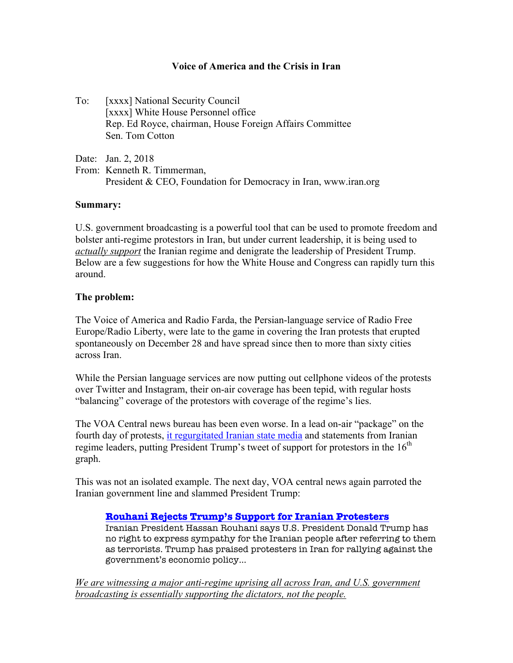## **Voice of America and the Crisis in Iran**

To: [xxxx] National Security Council [xxxx] White House Personnel office Rep. Ed Royce, chairman, House Foreign Affairs Committee Sen. Tom Cotton

Date: Jan. 2, 2018

From: Kenneth R. Timmerman, President & CEO, Foundation for Democracy in Iran, www.iran.org

### **Summary:**

U.S. government broadcasting is a powerful tool that can be used to promote freedom and bolster anti-regime protestors in Iran, but under current leadership, it is being used to *actually support* the Iranian regime and denigrate the leadership of President Trump. Below are a few suggestions for how the White House and Congress can rapidly turn this around.

### **The problem:**

The Voice of America and Radio Farda, the Persian-language service of Radio Free Europe/Radio Liberty, were late to the game in covering the Iran protests that erupted spontaneously on December 28 and have spread since then to more than sixty cities across Iran.

While the Persian language services are now putting out cellphone videos of the protests over Twitter and Instagram, their on-air coverage has been tepid, with regular hosts "balancing" coverage of the protestors with coverage of the regime's lies.

The VOA Central news bureau has been even worse. In a lead on-air "package" on the fourth day of protests, it regurgitated Iranian state media and statements from Iranian regime leaders, putting President Trump's tweet of support for protestors in the  $16<sup>th</sup>$ graph.

This was not an isolated example. The next day, VOA central news again parroted the Iranian government line and slammed President Trump:

### **Rouhani Rejects Trump's Support for Iranian Protesters**

Iranian President Hassan Rouhani says U.S. President Donald Trump has no right to express sympathy for the Iranian people after referring to them as terrorists. Trump has praised protesters in Iran for rallying against the government's economic policy…

*We are witnessing a major anti-regime uprising all across Iran, and U.S. government broadcasting is essentially supporting the dictators, not the people.*